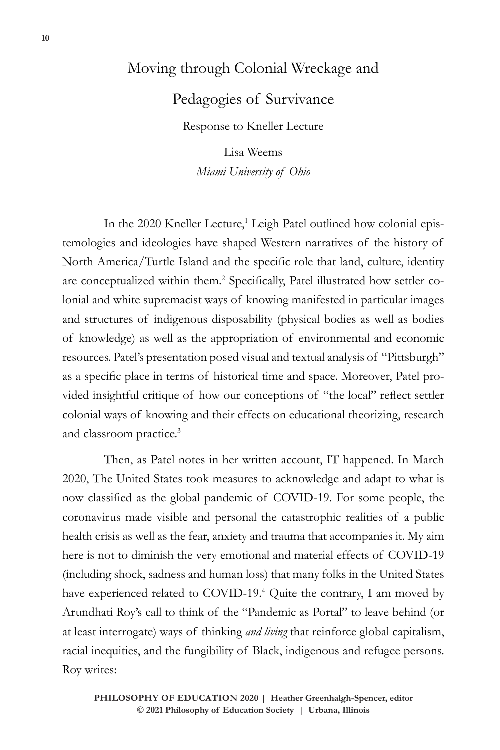## Moving through Colonial Wreckage and

Pedagogies of Survivance

Response to Kneller Lecture

Lisa Weems *Miami University of Ohio*

In the 2020 Kneller Lecture,<sup>1</sup> Leigh Patel outlined how colonial epistemologies and ideologies have shaped Western narratives of the history of North America/Turtle Island and the specific role that land, culture, identity are conceptualized within them.<sup>2</sup> Specifically, Patel illustrated how settler colonial and white supremacist ways of knowing manifested in particular images and structures of indigenous disposability (physical bodies as well as bodies of knowledge) as well as the appropriation of environmental and economic resources. Patel's presentation posed visual and textual analysis of "Pittsburgh" as a specific place in terms of historical time and space. Moreover, Patel provided insightful critique of how our conceptions of "the local" reflect settler colonial ways of knowing and their effects on educational theorizing, research and classroom practice.3

Then, as Patel notes in her written account, IT happened. In March 2020, The United States took measures to acknowledge and adapt to what is now classified as the global pandemic of COVID-19. For some people, the coronavirus made visible and personal the catastrophic realities of a public health crisis as well as the fear, anxiety and trauma that accompanies it. My aim here is not to diminish the very emotional and material effects of COVID-19 (including shock, sadness and human loss) that many folks in the United States have experienced related to COVID-19.<sup>4</sup> Quite the contrary, I am moved by Arundhati Roy's call to think of the "Pandemic as Portal" to leave behind (or at least interrogate) ways of thinking *and living* that reinforce global capitalism, racial inequities, and the fungibility of Black, indigenous and refugee persons. Roy writes: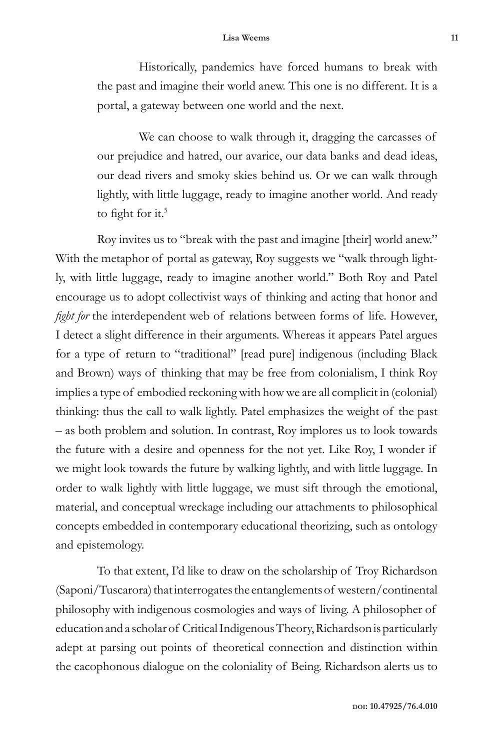## **Lisa Weems 11**

Historically, pandemics have forced humans to break with the past and imagine their world anew. This one is no different. It is a portal, a gateway between one world and the next.

We can choose to walk through it, dragging the carcasses of our prejudice and hatred, our avarice, our data banks and dead ideas, our dead rivers and smoky skies behind us. Or we can walk through lightly, with little luggage, ready to imagine another world. And ready to fight for it.<sup>5</sup>

Roy invites us to "break with the past and imagine [their] world anew." With the metaphor of portal as gateway, Roy suggests we "walk through lightly, with little luggage, ready to imagine another world." Both Roy and Patel encourage us to adopt collectivist ways of thinking and acting that honor and *fight for* the interdependent web of relations between forms of life. However, I detect a slight difference in their arguments. Whereas it appears Patel argues for a type of return to "traditional" [read pure] indigenous (including Black and Brown) ways of thinking that may be free from colonialism, I think Roy implies a type of embodied reckoning with how we are all complicit in (colonial) thinking: thus the call to walk lightly. Patel emphasizes the weight of the past – as both problem and solution. In contrast, Roy implores us to look towards the future with a desire and openness for the not yet. Like Roy, I wonder if we might look towards the future by walking lightly, and with little luggage. In order to walk lightly with little luggage, we must sift through the emotional, material, and conceptual wreckage including our attachments to philosophical concepts embedded in contemporary educational theorizing, such as ontology and epistemology.

To that extent, I'd like to draw on the scholarship of Troy Richardson (Saponi/Tuscarora) that interrogates the entanglements of western/continental philosophy with indigenous cosmologies and ways of living. A philosopher of education and a scholar of Critical Indigenous Theory, Richardson is particularly adept at parsing out points of theoretical connection and distinction within the cacophonous dialogue on the coloniality of Being. Richardson alerts us to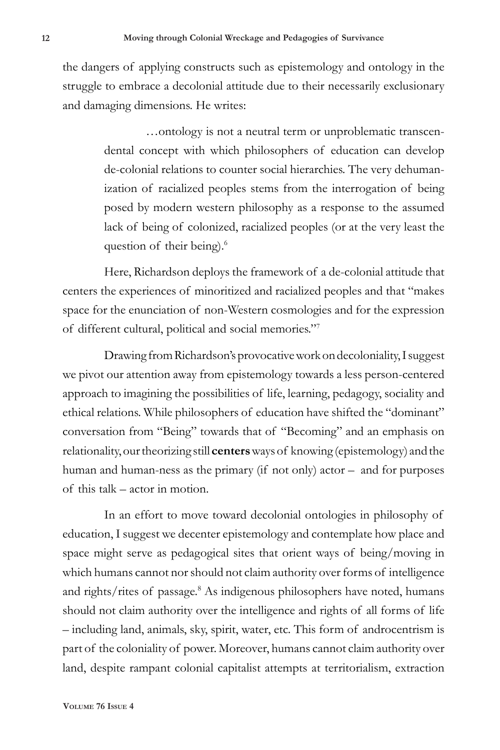the dangers of applying constructs such as epistemology and ontology in the struggle to embrace a decolonial attitude due to their necessarily exclusionary and damaging dimensions. He writes:

> …ontology is not a neutral term or unproblematic transcendental concept with which philosophers of education can develop de-colonial relations to counter social hierarchies. The very dehumanization of racialized peoples stems from the interrogation of being posed by modern western philosophy as a response to the assumed lack of being of colonized, racialized peoples (or at the very least the question of their being).<sup>6</sup>

Here, Richardson deploys the framework of a de-colonial attitude that centers the experiences of minoritized and racialized peoples and that "makes space for the enunciation of non-Western cosmologies and for the expression of different cultural, political and social memories."7

Drawing from Richardson's provocative work on decoloniality, I suggest we pivot our attention away from epistemology towards a less person-centered approach to imagining the possibilities of life, learning, pedagogy, sociality and ethical relations. While philosophers of education have shifted the "dominant" conversation from "Being" towards that of "Becoming" and an emphasis on relationality, our theorizing still **centers** ways of knowing (epistemology) and the human and human-ness as the primary (if not only) actor – and for purposes of this talk – actor in motion.

In an effort to move toward decolonial ontologies in philosophy of education, I suggest we decenter epistemology and contemplate how place and space might serve as pedagogical sites that orient ways of being/moving in which humans cannot nor should not claim authority over forms of intelligence and rights/rites of passage.<sup>8</sup> As indigenous philosophers have noted, humans should not claim authority over the intelligence and rights of all forms of life – including land, animals, sky, spirit, water, etc. This form of androcentrism is part of the coloniality of power. Moreover, humans cannot claim authority over land, despite rampant colonial capitalist attempts at territorialism, extraction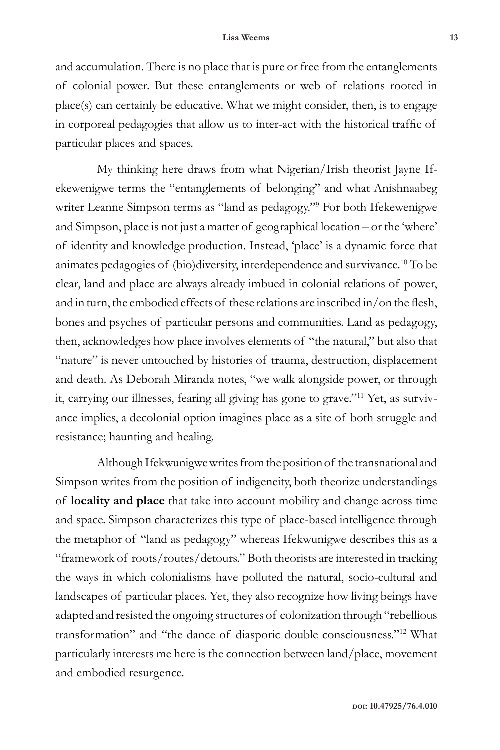and accumulation. There is no place that is pure or free from the entanglements of colonial power. But these entanglements or web of relations rooted in place(s) can certainly be educative. What we might consider, then, is to engage in corporeal pedagogies that allow us to inter-act with the historical traffic of particular places and spaces.

My thinking here draws from what Nigerian/Irish theorist Jayne Ifekewenigwe terms the "entanglements of belonging" and what Anishnaabeg writer Leanne Simpson terms as "land as pedagogy."<sup>9</sup> For both Ifekewenigwe and Simpson, place is not just a matter of geographical location – or the 'where' of identity and knowledge production. Instead, 'place' is a dynamic force that animates pedagogies of (bio)diversity, interdependence and survivance.10 To be clear, land and place are always already imbued in colonial relations of power, and in turn, the embodied effects of these relations are inscribed in/on the flesh, bones and psyches of particular persons and communities. Land as pedagogy, then, acknowledges how place involves elements of "the natural," but also that "nature" is never untouched by histories of trauma, destruction, displacement and death. As Deborah Miranda notes, "we walk alongside power, or through it, carrying our illnesses, fearing all giving has gone to grave."11 Yet, as survivance implies, a decolonial option imagines place as a site of both struggle and resistance; haunting and healing.

Although Ifekwunigwe writes from the position of the transnational and Simpson writes from the position of indigeneity, both theorize understandings of **locality and place** that take into account mobility and change across time and space. Simpson characterizes this type of place-based intelligence through the metaphor of "land as pedagogy" whereas Ifekwunigwe describes this as a "framework of roots/routes/detours." Both theorists are interested in tracking the ways in which colonialisms have polluted the natural, socio-cultural and landscapes of particular places. Yet, they also recognize how living beings have adapted and resisted the ongoing structures of colonization through "rebellious transformation" and "the dance of diasporic double consciousness."12 What particularly interests me here is the connection between land/place, movement and embodied resurgence.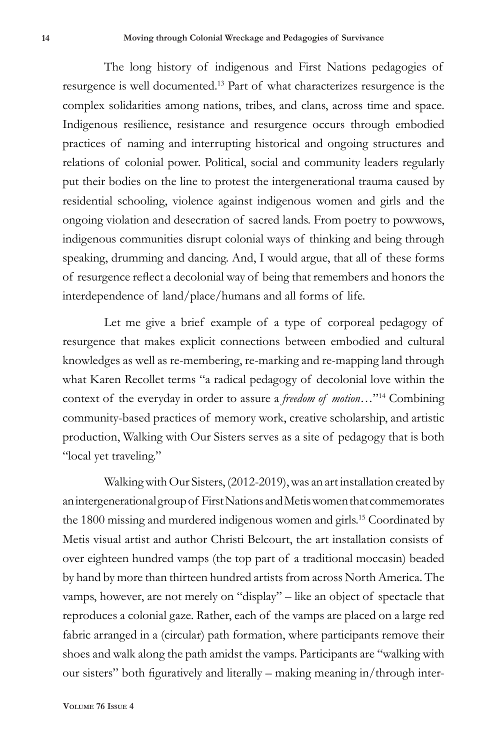The long history of indigenous and First Nations pedagogies of resurgence is well documented.13 Part of what characterizes resurgence is the complex solidarities among nations, tribes, and clans, across time and space. Indigenous resilience, resistance and resurgence occurs through embodied practices of naming and interrupting historical and ongoing structures and relations of colonial power. Political, social and community leaders regularly put their bodies on the line to protest the intergenerational trauma caused by residential schooling, violence against indigenous women and girls and the ongoing violation and desecration of sacred lands. From poetry to powwows, indigenous communities disrupt colonial ways of thinking and being through speaking, drumming and dancing. And, I would argue, that all of these forms of resurgence reflect a decolonial way of being that remembers and honors the interdependence of land/place/humans and all forms of life.

Let me give a brief example of a type of corporeal pedagogy of resurgence that makes explicit connections between embodied and cultural knowledges as well as re-membering, re-marking and re-mapping land through what Karen Recollet terms "a radical pedagogy of decolonial love within the context of the everyday in order to assure a *freedom of motion*…"14 Combining community-based practices of memory work, creative scholarship, and artistic production, Walking with Our Sisters serves as a site of pedagogy that is both "local yet traveling."

Walking with Our Sisters, (2012-2019), was an art installation created by an intergenerational group of First Nations and Metis women that commemorates the 1800 missing and murdered indigenous women and girls.<sup>15</sup> Coordinated by Metis visual artist and author Christi Belcourt, the art installation consists of over eighteen hundred vamps (the top part of a traditional moccasin) beaded by hand by more than thirteen hundred artists from across North America. The vamps, however, are not merely on "display" – like an object of spectacle that reproduces a colonial gaze. Rather, each of the vamps are placed on a large red fabric arranged in a (circular) path formation, where participants remove their shoes and walk along the path amidst the vamps. Participants are "walking with our sisters" both figuratively and literally – making meaning in/through inter-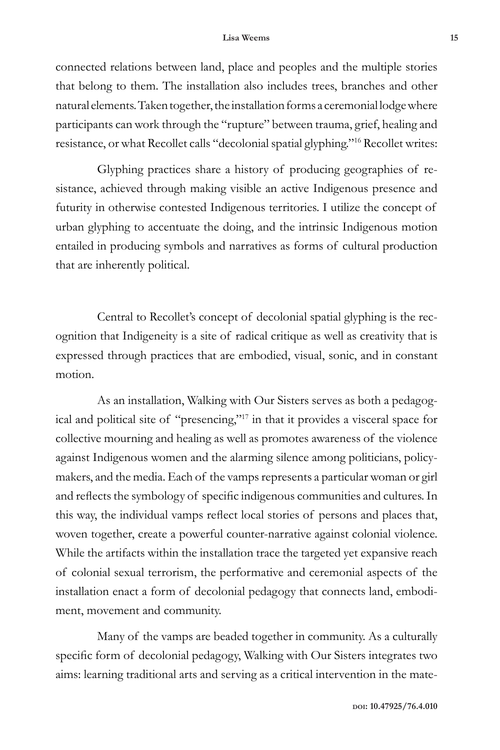## **Lisa Weems 15**

connected relations between land, place and peoples and the multiple stories that belong to them. The installation also includes trees, branches and other natural elements. Taken together, the installation forms a ceremonial lodge where participants can work through the "rupture" between trauma, grief, healing and resistance, or what Recollet calls "decolonial spatial glyphing."16 Recollet writes:

Glyphing practices share a history of producing geographies of resistance, achieved through making visible an active Indigenous presence and futurity in otherwise contested Indigenous territories. I utilize the concept of urban glyphing to accentuate the doing, and the intrinsic Indigenous motion entailed in producing symbols and narratives as forms of cultural production that are inherently political.

Central to Recollet's concept of decolonial spatial glyphing is the recognition that Indigeneity is a site of radical critique as well as creativity that is expressed through practices that are embodied, visual, sonic, and in constant motion.

As an installation, Walking with Our Sisters serves as both a pedagogical and political site of "presencing,"17 in that it provides a visceral space for collective mourning and healing as well as promotes awareness of the violence against Indigenous women and the alarming silence among politicians, policymakers, and the media. Each of the vamps represents a particular woman or girl and reflects the symbology of specific indigenous communities and cultures. In this way, the individual vamps reflect local stories of persons and places that, woven together, create a powerful counter-narrative against colonial violence. While the artifacts within the installation trace the targeted yet expansive reach of colonial sexual terrorism, the performative and ceremonial aspects of the installation enact a form of decolonial pedagogy that connects land, embodiment, movement and community.

Many of the vamps are beaded together in community. As a culturally specific form of decolonial pedagogy, Walking with Our Sisters integrates two aims: learning traditional arts and serving as a critical intervention in the mate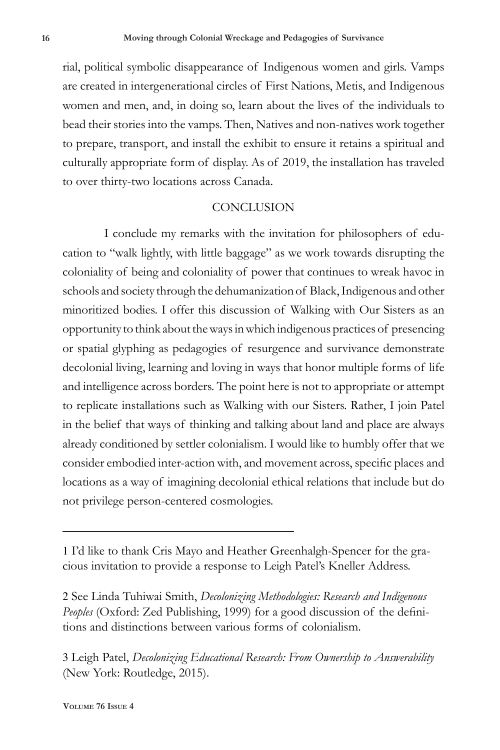rial, political symbolic disappearance of Indigenous women and girls. Vamps are created in intergenerational circles of First Nations, Metis, and Indigenous women and men, and, in doing so, learn about the lives of the individuals to bead their stories into the vamps. Then, Natives and non-natives work together to prepare, transport, and install the exhibit to ensure it retains a spiritual and culturally appropriate form of display. As of 2019, the installation has traveled to over thirty-two locations across Canada.

## **CONCLUSION**

I conclude my remarks with the invitation for philosophers of education to "walk lightly, with little baggage" as we work towards disrupting the coloniality of being and coloniality of power that continues to wreak havoc in schools and society through the dehumanization of Black, Indigenous and other minoritized bodies. I offer this discussion of Walking with Our Sisters as an opportunity to think about the ways in which indigenous practices of presencing or spatial glyphing as pedagogies of resurgence and survivance demonstrate decolonial living, learning and loving in ways that honor multiple forms of life and intelligence across borders. The point here is not to appropriate or attempt to replicate installations such as Walking with our Sisters. Rather, I join Patel in the belief that ways of thinking and talking about land and place are always already conditioned by settler colonialism. I would like to humbly offer that we consider embodied inter-action with, and movement across, specific places and locations as a way of imagining decolonial ethical relations that include but do not privilege person-centered cosmologies.

2 See Linda Tuhiwai Smith, *Decolonizing Methodologies: Research and Indigenous Peoples* (Oxford: Zed Publishing, 1999) for a good discussion of the definitions and distinctions between various forms of colonialism.

3 Leigh Patel, *Decolonizing Educational Research: From Ownership to Answerability* (New York: Routledge, 2015).

<sup>1</sup> I'd like to thank Cris Mayo and Heather Greenhalgh-Spencer for the gracious invitation to provide a response to Leigh Patel's Kneller Address.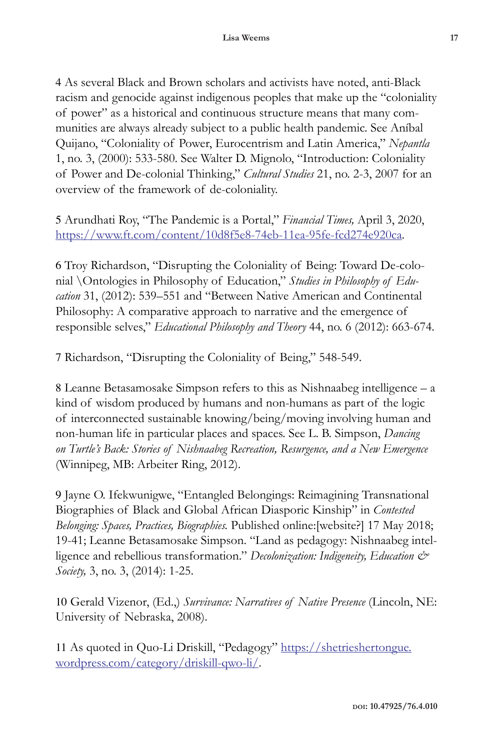4 As several Black and Brown scholars and activists have noted, anti-Black racism and genocide against indigenous peoples that make up the "coloniality of power" as a historical and continuous structure means that many communities are always already subject to a public health pandemic. See Aníbal Quijano, "Coloniality of Power, Eurocentrism and Latin America," *Nepantla* 1, no. 3, (2000): 533-580. See Walter D. Mignolo, "Introduction: Coloniality of Power and De-colonial Thinking," *Cultural Studies* 21, no. 2-3, 2007 for an overview of the framework of de-coloniality.

5 Arundhati Roy, "The Pandemic is a Portal," *Financial Times,* April 3, 2020, https://www.ft.com/content/10d8f5e8-74eb-11ea-95fe-fcd274e920ca.

6 Troy Richardson, "Disrupting the Coloniality of Being: Toward De-colonial \Ontologies in Philosophy of Education," *Studies in Philosophy of Education* 31, (2012): 539–551 and "Between Native American and Continental Philosophy: A comparative approach to narrative and the emergence of responsible selves," *Educational Philosophy and Theory* 44, no. 6 (2012): 663-674.

7 Richardson, "Disrupting the Coloniality of Being," 548-549.

8 Leanne Betasamosake Simpson refers to this as Nishnaabeg intelligence – a kind of wisdom produced by humans and non-humans as part of the logic of interconnected sustainable knowing/being/moving involving human and non-human life in particular places and spaces. See L. B. Simpson, *Dancing on Turtle's Back: Stories of Nishnaabeg Recreation, Resurgence, and a New Emergence*  (Winnipeg, MB: Arbeiter Ring, 2012).

9 Jayne O. Ifekwunigwe, "Entangled Belongings: Reimagining Transnational Biographies of Black and Global African Diasporic Kinship" in *Contested Belonging: Spaces, Practices, Biographies.* Published online:[website?] 17 May 2018; 19-41; Leanne Betasamosake Simpson. "Land as pedagogy: Nishnaabeg intelligence and rebellious transformation." *Decolonization: Indigeneity, Education & Society,* 3, no. 3, (2014): 1-25.

10 Gerald Vizenor, (Ed.,) *Survivance: Narratives of Native Presence* (Lincoln, NE: University of Nebraska, 2008).

11 As quoted in Quo-Li Driskill, "Pedagogy" https://shetrieshertongue. wordpress.com/category/driskill-qwo-li/.